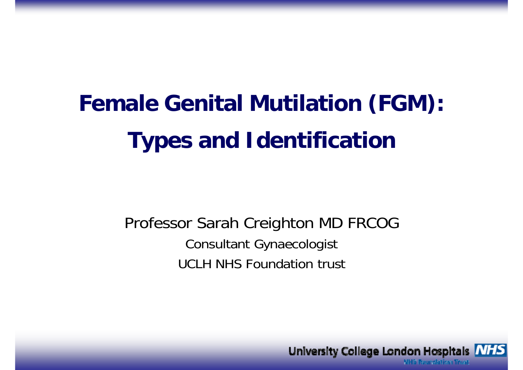# **Female Genital Mutilation (FGM): Types and Identification**

### Professor Sarah Creighton MD FRCOG Consultant Gynaecologist UCLH NHS Foundation trust

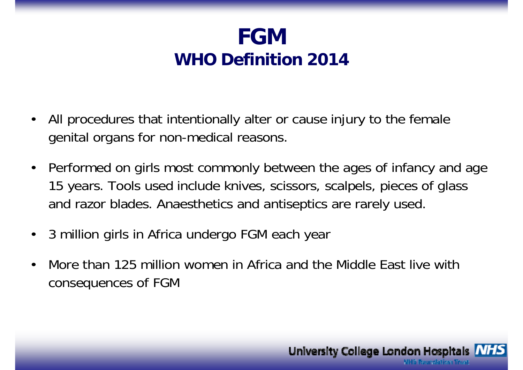### **FGMWHO Definition 2014**

- • All procedures that intentionally alter or cause injury to the female genital organs for non-medical reasons.
- •• Performed on girls most commonly between the ages of infancy and age 15 years. Tools used include knives, scissors, scalpels, pieces of glass and razor blades. Anaesthetics and antiseptics are rarely used.
- $\bullet$ 3 million girls in Africa undergo FGM each year
- • More than 125 million women in Africa and the Middle East live with consequences of FGM

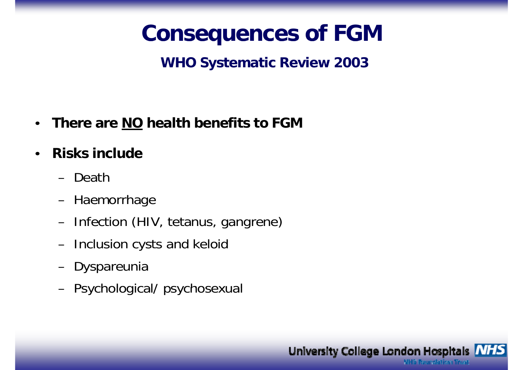## **Consequences of FGM**

### **WHO Systematic Review 2003**

- There are NO health benefits to FGM
- **Risks include**  $\bullet$ 
	- Death
	- Haemorrhage
	- Infection (HIV, tetanus, gangrene)
	- Inclusion cysts and keloid
	- Dyspareunia
	- Psychological/ psychosexual

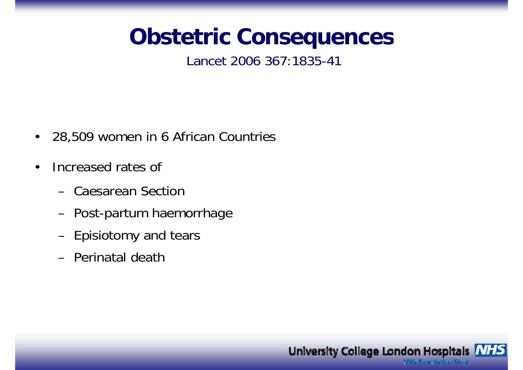## **Consequences**

#### Lancet 2006 367:1835-41

- •28,509 women in 6 African Countries
- $\bullet$  Increased rates of
	- Caesarean Section
	- Post-partum haemorrhage
	- Episiotomy and tears
	- Perinatal death

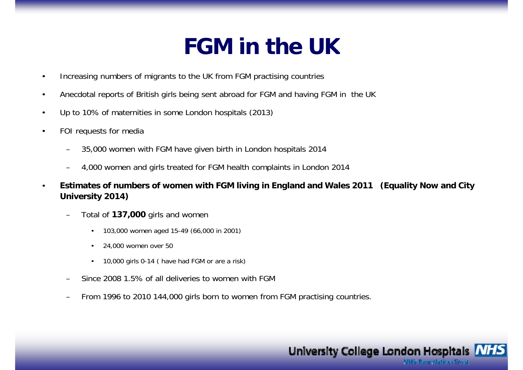## **FGM i th UK in the**

- •Increasing numbers of migrants to the UK from FGM practising countries
- •Anecdotal reports of British girls being sent abroad for FGM and having FGM in the UK
- •Up to 10% of maternities in some London hospitals (2013)
- • FOI requests for media
	- –35,000 women with FGM have given birth in London hospitals 2014
	- –4,000 women and girls treated for FGM health complaints in London 2014
- • **Estimates of numbers of women with FGM living in England and Wales 2011 (Equality Now and City University 2014)** 
	- – Total of **137,000** girls and women
		- •103,000 women aged 15-49 (66,000 in 2001)
		- • $\cdot$  24,000 women over 50
		- •10,000 girls 0-14 ( have had FGM or are a risk)
	- –Since 2008 1.5% of all deliveries to women with FGM
	- –From 1996 to 2010 144,000 girls born to women from FGM practising countries.

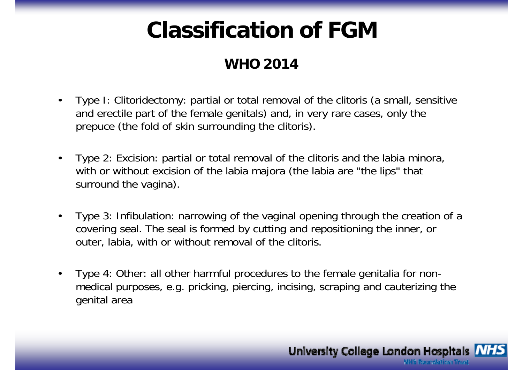## **Classification of FGM**

#### **WHO 2014**

- $\bullet$  Type I: Clitoridectomy: partial or total removal of the clitoris (a small, sensitive and erectile part of the female genitals) and, in very rare cases, only the prepuce (the fold of skin surrounding the clitoris).
- $\bullet$  Type 2: Excision: partial or total removal of the clitoris and the labia minora, with or without excision of the labia majora (the labia are "the lips" that surround the vagina).
- $\bullet$  Type 3: Infibulation: narrowing of the vaginal opening through the creation of a covering seal. The seal is formed by cutting and repositioning the inner, or outer, labia, with or without removal of the clitoris.
- $\bullet$  Type 4: Other: all other harmful procedures to the female genitalia for nonmedical purposes, e.g. pricking, piercing, incising, scraping and cauterizing the genital area

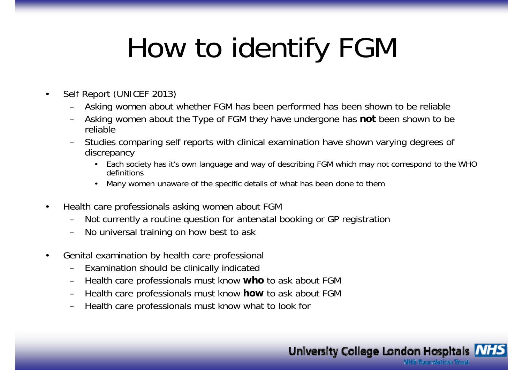# How to identify FGM

- • Self Report (UNICEF 2013)
	- Asking women about whether FGM has been performed has been shown to be reliable
	- Asking women about the Type of FGM they have undergone has **not** been shown to be reliable
	- Studies comparing self reports with clinical examination have shown varying degrees of discrepancy
		- Each society has it's own language and way of describing FGM which may not correspond to the WHO definitions
		- •Many women unaware of the specific details of what has been done to them
- • Health care professionals asking women about FGM
	- Not currently a routine question for antenatal booking or GP registration
	- No universal training on how best to ask
- • Genital examination by health care professional
	- Examination should be clinically indicated
	- Health care professionals must know **who** to ask about FGM
	- Health care professionals must know **how** to ask about FGM
	- Health care professionals must know what to look for

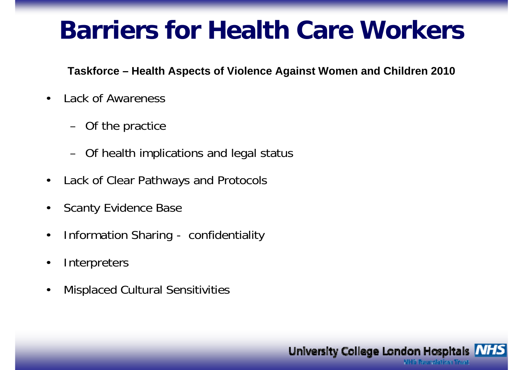# **Barriers for Health Care Workers**

**Taskforce – Health Aspects of Violence Against Women and Children 2010**

- • Lack of Awareness
	- Of the practice
	- Of health implications and legal status
- •Lack of Clear Pathways and Protocols
- •Scanty Evidence Base
- •Information Sharing - confidentiality
- •**Interpreters**
- •Misplaced Cultural Sensitivities

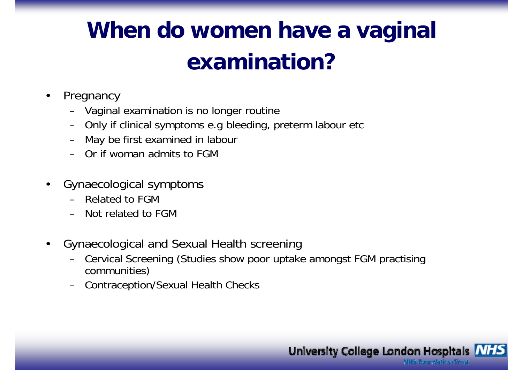# When do women have a vaginal **examination?**

- • Pregnancy
	- Vaginal examination is no longer routine
	- Only if clinical symptoms e.g bleeding, preterm labour etc
	- May be first examined in labour
	- Or if woman admits to FGM
- $\bullet$  Gynaecological symptoms
	- Related to FGM
	- Not related to FGM
- $\bullet$ Gynaecological and Sexual Health screening
	- Cervical Screening (Studies show poor uptake amongst FGM practising communities)
	- **Contraception/Sexual Health Checks**

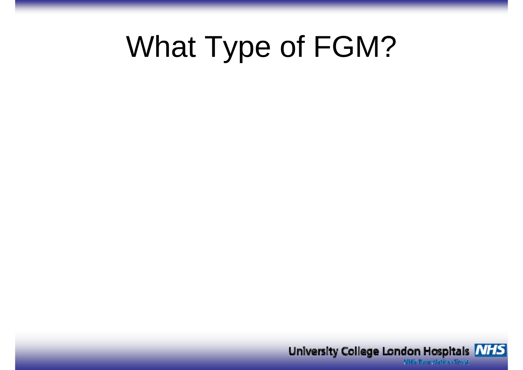# What Type of FGM?

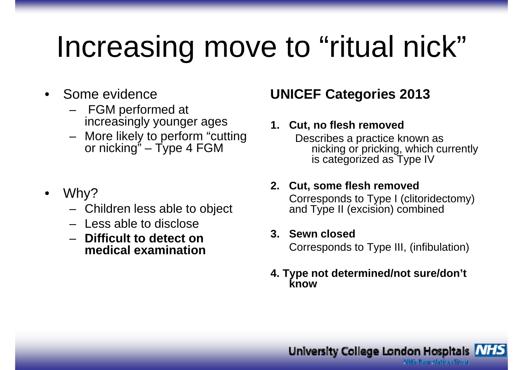#### Increasing move to "ritual nick" ve to "ritual nick

- • Some evidence
	- – FGM performed at increasingly younger ages **1**
	- – More likely to perform "cutting or nicking" – Type 4 FGM
- $\bullet$  Why?
	- Children less able to object – Children less able to objec
	- Less able to disclose
	- **Difficult to detect on di l i timedi**

### **UNICEF Categories 2013**

#### **1.** Cut, no flesh removed

Describes a practice known as nicking or pricking, which currently is categorized as Type IV

#### **2. Cut, some flesh removed** Corresponds to Type I (clitoridectomy) t and Type II (excision) combined

#### **3. Sewn closed**

**ical examination corresponds to Type III**, (infibulation)

#### **4. Type not determined/not sure/don't know**